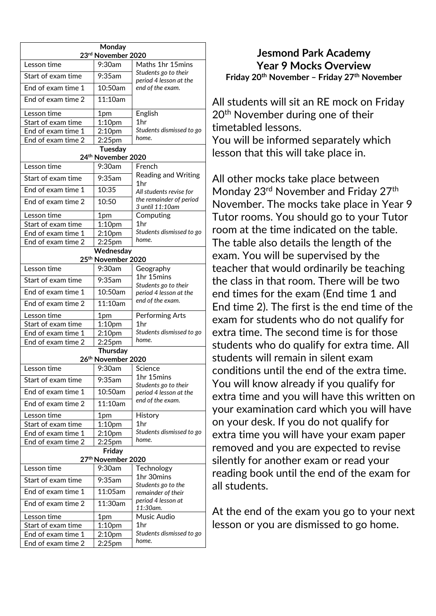| Monday                                      |                           |                                                    |  |  |  |
|---------------------------------------------|---------------------------|----------------------------------------------------|--|--|--|
| 23rd November 2020                          |                           |                                                    |  |  |  |
| Lesson time                                 | 9:30am                    | Maths 1hr 15mins                                   |  |  |  |
| Start of exam time                          | $9:35$ am                 | Students go to their<br>period 4 lesson at the     |  |  |  |
| End of exam time 1                          | 10:50am                   | end of the exam.                                   |  |  |  |
| End of exam time 2                          | 11:10am                   |                                                    |  |  |  |
| Lesson time                                 | 1pm                       | English                                            |  |  |  |
| Start of exam time                          | 1:10 <sub>pm</sub>        | 1 <sub>hr</sub>                                    |  |  |  |
| End of exam time 1                          | 2:10 <sub>pm</sub>        | Students dismissed to go                           |  |  |  |
| End of exam time 2                          | 2:25pm                    | home.                                              |  |  |  |
| <b>Tuesday</b><br>24th November 2020        |                           |                                                    |  |  |  |
| Lesson time                                 | 9:30am                    | French                                             |  |  |  |
| Start of exam time                          | $9:35$ am                 | <b>Reading and Writing</b>                         |  |  |  |
|                                             |                           | 1hr                                                |  |  |  |
| End of exam time 1                          | 10:35                     | All students revise for<br>the remainder of period |  |  |  |
| End of exam time 2                          | 10:50                     | 3 until 11:10am                                    |  |  |  |
| Lesson time                                 | 1pm                       | Computing                                          |  |  |  |
| Start of exam time                          | 1:10 <sub>pm</sub>        | 1 <sub>hr</sub>                                    |  |  |  |
| End of exam time 1                          | 2:10pm                    | Students dismissed to go                           |  |  |  |
| End of exam time 2                          | 2:25pm                    | home.                                              |  |  |  |
| Wednesday<br>25 <sup>th</sup> November 2020 |                           |                                                    |  |  |  |
| Lesson time                                 | 9:30am                    |                                                    |  |  |  |
|                                             |                           | Geography<br>1hr 15mins                            |  |  |  |
| Start of exam time                          | 9:35am                    | Students go to their                               |  |  |  |
| End of exam time 1                          | 10:50am                   | period 4 lesson at the<br>end of the exam.         |  |  |  |
| End of exam time 2                          | 11:10am                   |                                                    |  |  |  |
| Lesson time                                 | 1pm                       | <b>Performing Arts</b>                             |  |  |  |
| Start of exam time                          | 1:10 <sub>pm</sub>        | 1 <sub>hr</sub>                                    |  |  |  |
| End of exam time 1                          | 2:10pm                    | Students dismissed to go<br>home.                  |  |  |  |
| End of exam time 2                          | 2:25pm<br><b>Thursday</b> |                                                    |  |  |  |
|                                             | 26th November 2020        |                                                    |  |  |  |
| Lesson time                                 | 9:30am                    | Science                                            |  |  |  |
| Start of exam time                          | $\overline{9:}35$ am      | 1hr 15mins                                         |  |  |  |
| End of exam time 1                          | 10:50am                   | Students go to their                               |  |  |  |
| End of exam time 2                          | 11:10am                   | period 4 lesson at the<br>end of the exam.         |  |  |  |
|                                             |                           |                                                    |  |  |  |
| Lesson time                                 | 1pm                       | History                                            |  |  |  |
| Start of exam time                          | 1:10 <sub>pm</sub>        | 1hr                                                |  |  |  |
| End of exam time 1                          | 2:10 <sub>pm</sub>        | Students dismissed to go<br>home.                  |  |  |  |
| End of exam time 2                          | 2:25pm                    |                                                    |  |  |  |
| Friday<br>27th November 2020                |                           |                                                    |  |  |  |
| Lesson time                                 | 9:30am                    | Technology                                         |  |  |  |
| Start of exam time                          | $9:35$ am                 | 1hr 30mins                                         |  |  |  |
| End of exam time 1                          | 11:05am                   | Students go to the<br>remainder of their           |  |  |  |
| End of exam time 2                          | 11:30am                   | period 4 lesson at<br>11:30am.                     |  |  |  |
| Lesson time                                 | 1pm                       | Music Audio                                        |  |  |  |
| Start of exam time                          | 1:10 <sub>pm</sub>        | 1hr                                                |  |  |  |
| End of exam time 1                          | 2:10 <sub>pm</sub>        | Students dismissed to go                           |  |  |  |
| End of exam time 2                          | $2:25$ pm                 | home.                                              |  |  |  |
|                                             |                           |                                                    |  |  |  |

## **Jesmond Park Academy Year 9 Mocks Overview Friday 20th November – Friday 27th November**

All students will sit an RE mock on Friday 20<sup>th</sup> November during one of their timetabled lessons. You will be informed separately which lesson that this will take place in.

All other mocks take place between Monday 23<sup>rd</sup> November and Friday 27<sup>th</sup> November. The mocks take place in Year 9 Tutor rooms. You should go to your Tutor room at the time indicated on the table. The table also details the length of the exam. You will be supervised by the teacher that would ordinarily be teaching the class in that room. There will be two end times for the exam (End time 1 and End time 2). The first is the end time of the exam for students who do not qualify for extra time. The second time is for those students who do qualify for extra time. All students will remain in silent exam conditions until the end of the extra time. You will know already if you qualify for extra time and you will have this written on your examination card which you will have on your desk. If you do not qualify for extra time you will have your exam paper removed and you are expected to revise silently for another exam or read your reading book until the end of the exam for all students.

At the end of the exam you go to your next lesson or you are dismissed to go home.